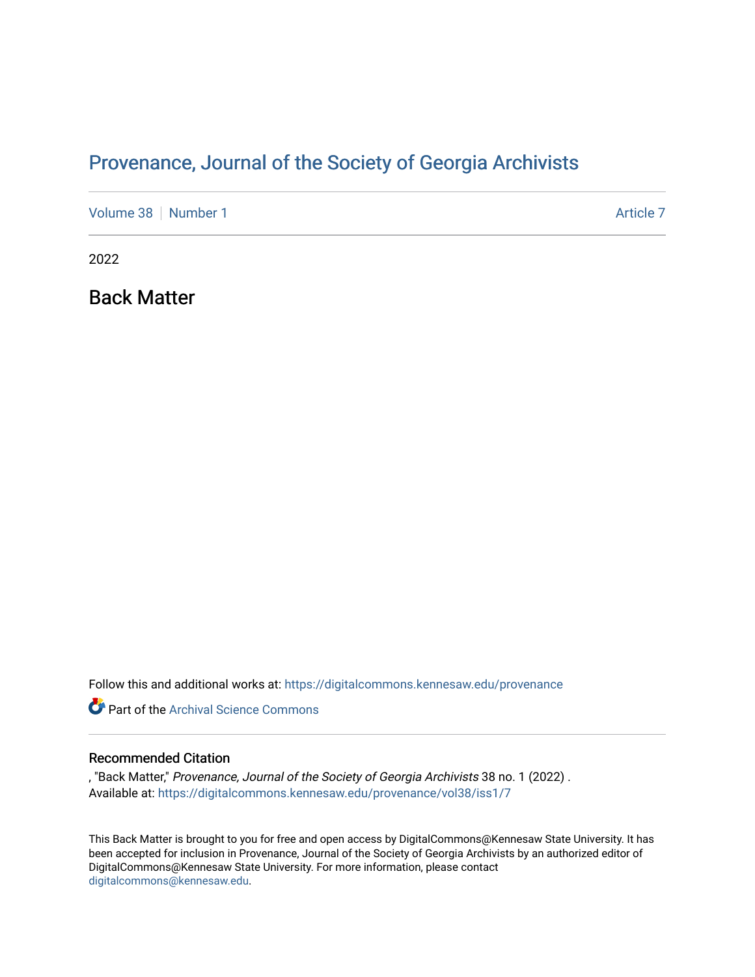# Provenance, Journal of the Society of Georgia Archivists

[Volume 38](https://digitalcommons.kennesaw.edu/provenance/vol38) [Number 1](https://digitalcommons.kennesaw.edu/provenance/vol38/iss1) [Article 7](https://digitalcommons.kennesaw.edu/provenance/vol38/iss1/7) Article 7 Article 7 Article 7 Article 7 Article 7 Article 7

2022

Back Matter

Follow this and additional works at: [https://digitalcommons.kennesaw.edu/provenance](https://digitalcommons.kennesaw.edu/provenance?utm_source=digitalcommons.kennesaw.edu%2Fprovenance%2Fvol38%2Fiss1%2F7&utm_medium=PDF&utm_campaign=PDFCoverPages) 

**P** Part of the Archival Science Commons

#### Recommended Citation

, "Back Matter," Provenance, Journal of the Society of Georgia Archivists 38 no. 1 (2022) . Available at: [https://digitalcommons.kennesaw.edu/provenance/vol38/iss1/7](https://digitalcommons.kennesaw.edu/provenance/vol38/iss1/7?utm_source=digitalcommons.kennesaw.edu%2Fprovenance%2Fvol38%2Fiss1%2F7&utm_medium=PDF&utm_campaign=PDFCoverPages) 

This Back Matter is brought to you for free and open access by DigitalCommons@Kennesaw State University. It has been accepted for inclusion in Provenance, Journal of the Society of Georgia Archivists by an authorized editor of DigitalCommons@Kennesaw State University. For more information, please contact [digitalcommons@kennesaw.edu.](mailto:digitalcommons@kennesaw.edu)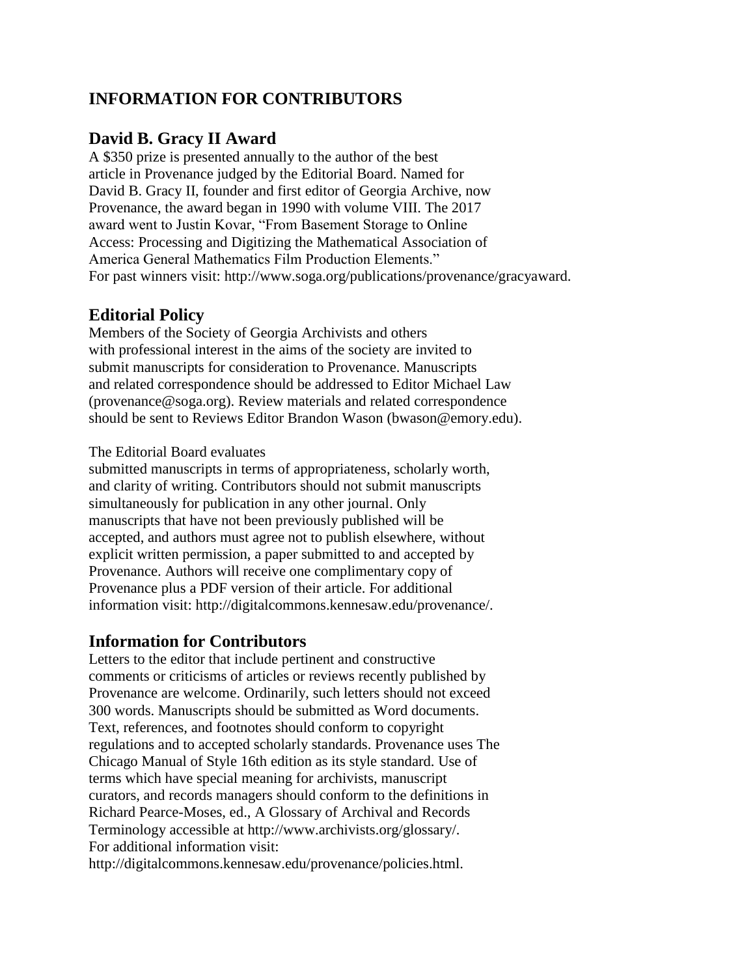## **INFORMATION FOR CONTRIBUTORS**

## **David B. Gracy II Award**

A \$350 prize is presented annually to the author of the best article in Provenance judged by the Editorial Board. Named for David B. Gracy II, founder and first editor of Georgia Archive, now Provenance, the award began in 1990 with volume VIII. The 2017 award went to Justin Kovar, "From Basement Storage to Online Access: Processing and Digitizing the Mathematical Association of America General Mathematics Film Production Elements." For past winners visit: http://www.soga.org/publications/provenance/gracyaward.

## **Editorial Policy**

Members of the Society of Georgia Archivists and others with professional interest in the aims of the society are invited to submit manuscripts for consideration to Provenance. Manuscripts and related correspondence should be addressed to Editor Michael Law (provenance@soga.org). Review materials and related correspondence should be sent to Reviews Editor Brandon Wason (bwason@emory.edu).

#### The Editorial Board evaluates

submitted manuscripts in terms of appropriateness, scholarly worth, and clarity of writing. Contributors should not submit manuscripts simultaneously for publication in any other journal. Only manuscripts that have not been previously published will be accepted, and authors must agree not to publish elsewhere, without explicit written permission, a paper submitted to and accepted by Provenance. Authors will receive one complimentary copy of Provenance plus a PDF version of their article. For additional information visit: http://digitalcommons.kennesaw.edu/provenance/.

### **Information for Contributors**

Letters to the editor that include pertinent and constructive comments or criticisms of articles or reviews recently published by Provenance are welcome. Ordinarily, such letters should not exceed 300 words. Manuscripts should be submitted as Word documents. Text, references, and footnotes should conform to copyright regulations and to accepted scholarly standards. Provenance uses The Chicago Manual of Style 16th edition as its style standard. Use of terms which have special meaning for archivists, manuscript curators, and records managers should conform to the definitions in Richard Pearce-Moses, ed., A Glossary of Archival and Records Terminology accessible at http://www.archivists.org/glossary/. For additional information visit:

http://digitalcommons.kennesaw.edu/provenance/policies.html.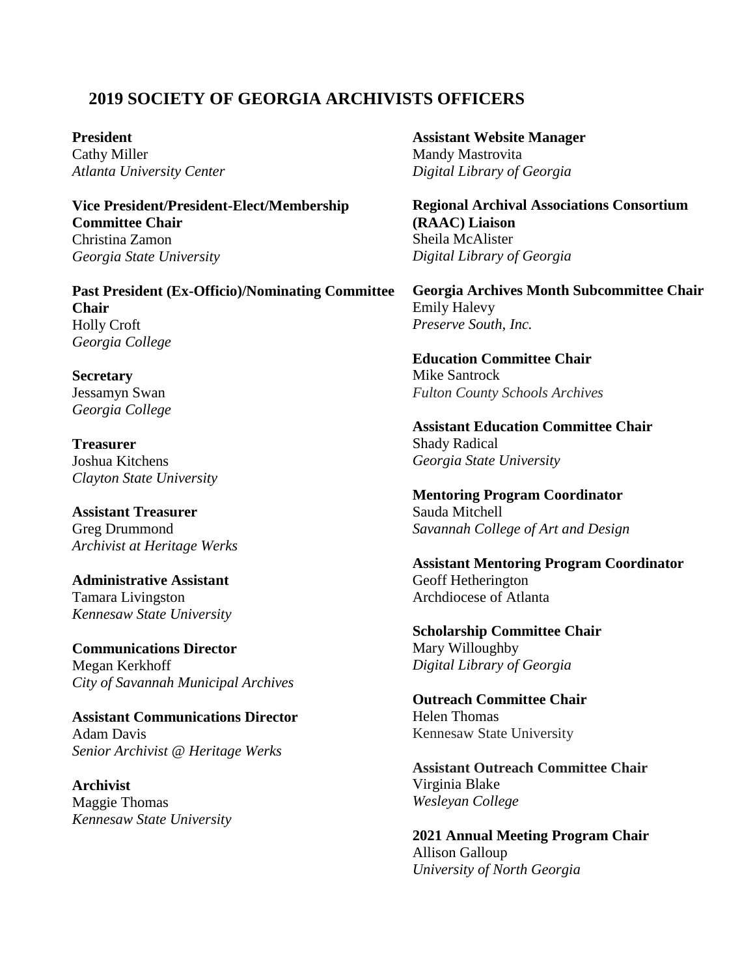## **2019 SOCIETY OF GEORGIA ARCHIVISTS OFFICERS**

**President** Cathy Miller *Atlanta University Center*

**Vice President/President-Elect/Membership Committee Chair** Christina Zamon *Georgia State University*

**Past President (Ex-Officio)/Nominating Committee Chair** Holly Croft *Georgia College*

**Secretary** Jessamyn Swan *Georgia College*

**Treasurer** Joshua Kitchens *Clayton State University*

**Assistant Treasurer** Greg Drummond *Archivist at Heritage Werks*

**Administrative Assistant** Tamara Livingston *Kennesaw State University*

**Communications Director** Megan Kerkhoff *City of Savannah Municipal Archives*

**Assistant Communications Director** Adam Davis *Senior Archivist @ Heritage Werks*

**Archivist** Maggie Thomas *Kennesaw State University* **Assistant Website Manager** Mandy Mastrovita *Digital Library of Georgia*

**Regional Archival Associations Consortium (RAAC) Liaison** Sheila McAlister *Digital Library of Georgia*

**Georgia Archives Month Subcommittee Chair** Emily Halevy *Preserve South, Inc.*

**Education Committee Chair** Mike Santrock *Fulton County Schools Archives*

**Assistant Education Committee Chair** Shady Radical *Georgia State University*

**Mentoring Program Coordinator** Sauda Mitchell *Savannah College of Art and Design*

**Assistant Mentoring Program Coordinator** Geoff Hetherington Archdiocese of Atlanta

**Scholarship Committee Chair** Mary Willoughby *Digital Library of Georgia*

**Outreach Committee Chair** Helen Thomas Kennesaw State University

**Assistant Outreach Committee Chair** Virginia Blake *Wesleyan College*

**2021 Annual Meeting Program Chair** Allison Galloup *University of North Georgia*